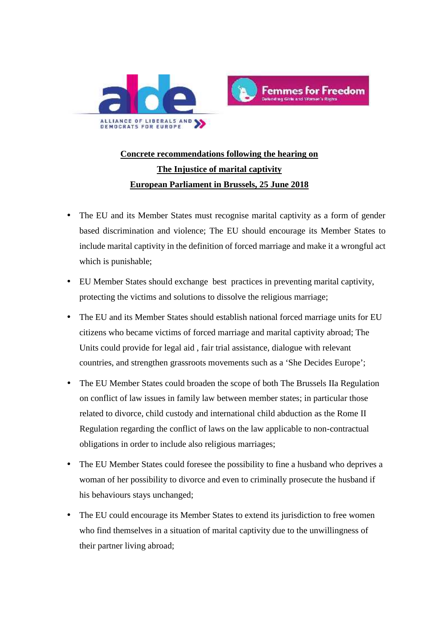

## **Concrete recommendations following the hearing on The Injustice of marital captivity European Parliament in Brussels, 25 June 2018**

- The EU and its Member States must recognise marital captivity as a form of gender based discrimination and violence; The EU should encourage its Member States to include marital captivity in the definition of forced marriage and make it a wrongful act which is punishable;
- EU Member States should exchange best practices in preventing marital captivity, protecting the victims and solutions to dissolve the religious marriage;
- The EU and its Member States should establish national forced marriage units for EU citizens who became victims of forced marriage and marital captivity abroad; The Units could provide for legal aid , fair trial assistance, dialogue with relevant countries, and strengthen grassroots movements such as a 'She Decides Europe';
- The EU Member States could broaden the scope of both The Brussels IIa Regulation on conflict of law issues in family law between member states; in particular those related to divorce, child custody and international child abduction as the Rome II Regulation regarding the conflict of laws on the law applicable to non-contractual obligations in order to include also religious marriages;
- The EU Member States could foresee the possibility to fine a husband who deprives a woman of her possibility to divorce and even to criminally prosecute the husband if his behaviours stays unchanged;
- The EU could encourage its Member States to extend its jurisdiction to free women who find themselves in a situation of marital captivity due to the unwillingness of their partner living abroad;